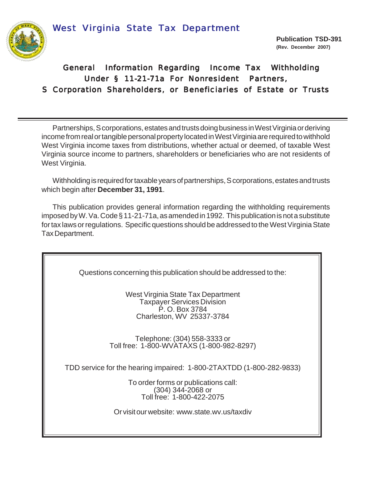West Virginia State Tax Department



# General Information Regarding Income Tax Withholding Under § 11-21-71a For Nonresident Partners, S Corporation Shareholders, or Beneficiaries of Estate or Trusts

Partnerships, S corporations, estates and trusts doing business in West Virginia or deriving income from real or tangible personal property located in West Virginia are required to withhold West Virginia income taxes from distributions, whether actual or deemed, of taxable West Virginia source income to partners, shareholders or beneficiaries who are not residents of West Virginia.

Withholding is required for taxable years of partnerships, S corporations, estates and trusts which begin after **December 31, 1991**.

This publication provides general information regarding the withholding requirements imposed by W. Va. Code § 11-21-71a, as amended in 1992. This publication is not a substitute for tax laws or regulations. Specific questions should be addressed to the West Virginia State Tax Department.

Questions concerning this publication should be addressed to the:

West Virginia State Tax Department Taxpayer Services Division P. O. Box 3784 Charleston, WV 25337-3784

Telephone: (304) 558-3333 or Toll free: 1-800-WVATAXS (1-800-982-8297)

TDD service for the hearing impaired: 1-800-2TAXTDD (1-800-282-9833)

To order forms or publications call: (304) 344-2068 or Toll free: 1-800-422-2075

Or visit our website: www.state.wv.us/taxdiv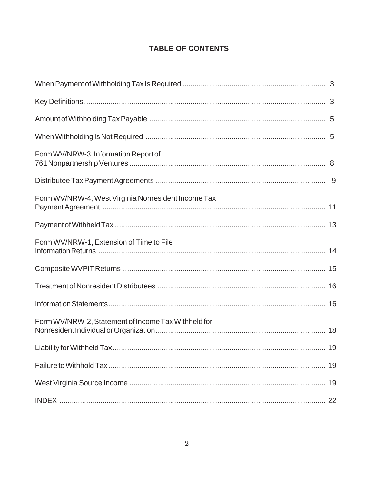# **TABLE OF CONTENTS**

| Form WV/NRW-3, Information Report of                |  |
|-----------------------------------------------------|--|
|                                                     |  |
| Form WV/NRW-4, West Virginia Nonresident Income Tax |  |
|                                                     |  |
| Form WV/NRW-1, Extension of Time to File            |  |
|                                                     |  |
|                                                     |  |
|                                                     |  |
| Form WV/NRW-2, Statement of Income Tax Withheld for |  |
|                                                     |  |
|                                                     |  |
|                                                     |  |
|                                                     |  |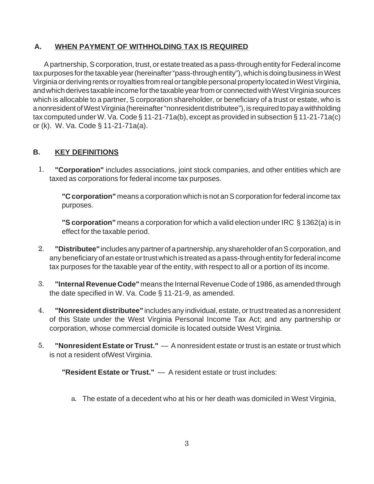## **A. WHEN PAYMENT OF WITHHOLDING TAX IS REQUIRED**

A partnership, S corporation, trust, or estate treated as a pass-through entity for Federal income tax purposes for the taxable year (hereinafter "pass-through entity"), which is doing business in West Virginia or deriving rents or royalties from real or tangible personal property located in West Virginia, and which derives taxable income for the taxable year from or connected with West Virginia sources which is allocable to a partner, S corporation shareholder, or beneficiary of a trust or estate, who is a nonresident of West Virginia (hereinafter "nonresident distributee"), is required to pay a withholding tax computed under W. Va. Code § 11-21-71a(b), except as provided in subsection § 11-21-71a(c) or (k). W. Va. Code § 11-21-71a(a).

## **B. KEY DEFINITIONS**

**"Corporation"** includes associations, joint stock companies, and other entities which are taxed as corporations for federal income tax purposes. 1.

**"C corporation"** means a corporation which is not an S corporation for federal income tax purposes.

**"S corporation"** means a corporation for which a valid election under IRC § 1362(a) is in effect for the taxable period.

- **"Distributee"** includes any partner of a partnership, any shareholder of an S corporation, and any beneficiary of an estate or trust which is treated as a pass-through entity for federal income tax purposes for the taxable year of the entity, with respect to all or a portion of its income. 2.
- **"Internal Revenue Code"** means the Internal Revenue Code of 1986, as amended through the date specified in W. Va. Code § 11-21-9, as amended. 3.
- **"Nonresident distributee"** includes any individual, estate, or trust treated as a nonresident of this State under the West Virginia Personal Income Tax Act; and any partnership or corporation, whose commercial domicile is located outside West Virginia. 4.
- **"Nonresident Estate or Trust."**  A nonresident estate or trust is an estate or trust which is not a resident ofWest Virginia. 5.

**"Resident Estate or Trust."** — A resident estate or trust includes:

The estate of a decedent who at his or her death was domiciled in West Virginia, a.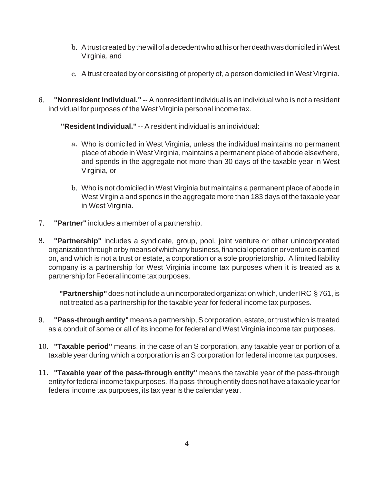- A trust created by the will of a decedent who at his or her death was domiciled in West b. Virginia, and
- A trust created by or consisting of property of, a person domiciled iin West Virginia. c.
- **"Nonresident Individual."** -- A nonresident individual is an individual who is not a resident individual for purposes of the West Virginia personal income tax. 6.

**"Resident Individual."** -- A resident individual is an individual:

- Who is domiciled in West Virginia, unless the individual maintains no permanent a. place of abode in West Virginia, maintains a permanent place of abode elsewhere, and spends in the aggregate not more than 30 days of the taxable year in West Virginia, or
- b. Who is not domiciled in West Virginia but maintains a permanent place of abode in West Virginia and spends in the aggregate more than 183 days of the taxable year in West Virginia.
- **"Partner"** includes a member of a partnership. 7.
- **"Partnership"** includes a syndicate, group, pool, joint venture or other unincorporated organization through or by means of which any business, financial operation or venture is carried on, and which is not a trust or estate, a corporation or a sole proprietorship. A limited liability company is a partnership for West Virginia income tax purposes when it is treated as a partnership for Federal income tax purposes. 8.

**"Partnership"** does not include a unincorporated organization which, under IRC § 761, is not treated as a partnership for the taxable year for federal income tax purposes.

- **"Pass-through entity"** means a partnership, S corporation, estate, or trust which is treated as a conduit of some or all of its income for federal and West Virginia income tax purposes. 9.
- **"Taxable period"** means, in the case of an S corporation, any taxable year or portion of a 10. taxable year during which a corporation is an S corporation for federal income tax purposes.
- **"Taxable year of the pass-through entity"** means the taxable year of the pass-through 11. entity for federal income tax purposes. If a pass-through entity does not have a taxable year for federal income tax purposes, its tax year is the calendar year.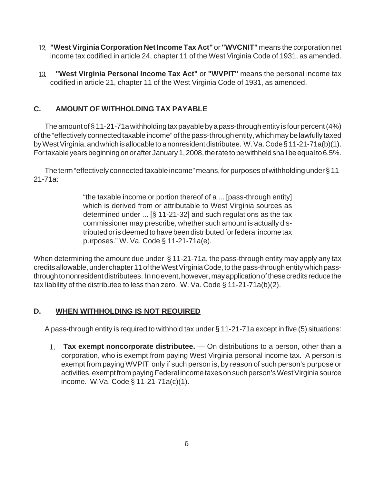- **"West Virginia Corporation Net Income Tax Act"** or **"WVCNIT"** means the corporation net 12. income tax codified in article 24, chapter 11 of the West Virginia Code of 1931, as amended.
- **"West Virginia Personal Income Tax Act"** or **"WVPIT"** means the personal income tax codified in article 21, chapter 11 of the West Virginia Code of 1931, as amended. 13.

# **C. AMOUNT OF WITHHOLDING TAX PAYABLE**

The amount of § 11-21-71a withholding tax payable by a pass-through entity is four percent (4%) of the "effectively connected taxable income" of the pass-through entity, which may be lawfully taxed by West Virginia, and which is allocable to a nonresident distributee. W. Va. Code § 11-21-71a(b)(1). For taxable years beginning on or after January 1, 2008, the rate to be withheld shall be equal to 6.5%.

The term "effectively connected taxable income" means, for purposes of withholding under § 11- 21-71a:

> "the taxable income or portion thereof of a ... [pass-through entity] which is derived from or attributable to West Virginia sources as determined under ... [§ 11-21-32] and such regulations as the tax commissioner may prescribe, whether such amount is actually distributed or is deemed to have been distributed for federal income tax purposes." W. Va. Code § 11-21-71a(e).

When determining the amount due under § 11-21-71a, the pass-through entity may apply any tax credits allowable, under chapter 11 of the West Virginia Code, to the pass-through entity which passthrough to nonresident distributees. In no event, however, may application of these credits reduce the tax liability of the distributee to less than zero. W. Va. Code § 11-21-71a(b)(2).

## **D. WHEN WITHHOLDING IS NOT REQUIRED**

A pass-through entity is required to withhold tax under § 11-21-71a except in five (5) situations:

**Tax exempt noncorporate distributee.** — On distributions to a person, other than a 1. corporation, who is exempt from paying West Virginia personal income tax. A person is exempt from paying WVPIT only if such person is, by reason of such person's purpose or activities, exempt from paying Federal income taxes on such person's West Virginia source income. W.Va. Code § 11-21-71a(c)(1).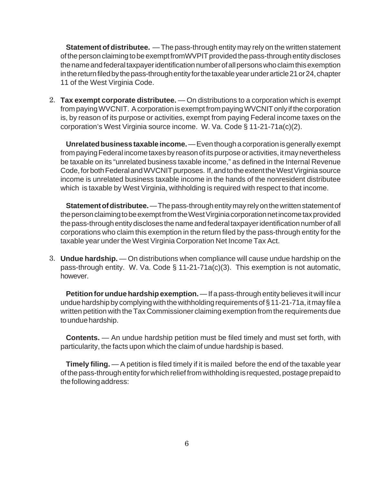**Statement of distributee.** — The pass-through entity may rely on the written statement of the person claiming to be exempt fromWVPIT provided the pass-through entity discloses the name and federal taxpayer identification number of all persons who claim this exemption in the return filed by the pass-through entity for the taxable year under article 21 or 24, chapter 11 of the West Virginia Code.

**Tax exempt corporate distributee.** — On distributions to a corporation which is exempt 2. from paying WVCNIT. A corporation is exempt from paying WVCNIT only if the corporation is, by reason of its purpose or activities, exempt from paying Federal income taxes on the corporation's West Virginia source income. W. Va. Code § 11-21-71a(c)(2).

**Unrelated business taxable income.** — Even though a corporation is generally exempt from paying Federal income taxes by reason of its purpose or activities, it may nevertheless be taxable on its "unrelated business taxable income," as defined in the Internal Revenue Code, for both Federal and WVCNIT purposes. If, and to the extent the West Virginia source income is unrelated business taxable income in the hands of the nonresident distributee which is taxable by West Virginia, withholding is required with respect to that income.

**Statement of distributee.** — The pass-through entity may rely on the written statement of the person claiming to be exempt from the West Virginia corporation net income tax provided the pass-through entity discloses the name and federal taxpayer identification number of all corporations who claim this exemption in the return filed by the pass-through entity for the taxable year under the West Virginia Corporation Net Income Tax Act.

**Undue hardship.** — On distributions when compliance will cause undue hardship on the 3.pass-through entity. W. Va. Code § 11-21-71a(c)(3). This exemption is not automatic, however.

**Petition for undue hardship exemption.** — If a pass-through entity believes it will incur undue hardship by complying with the withholding requirements of § 11-21-71a, it may file a written petition with the Tax Commissioner claiming exemption from the requirements due to undue hardship.

**Contents.** — An undue hardship petition must be filed timely and must set forth, with particularity, the facts upon which the claim of undue hardship is based.

**Timely filing.** — A petition is filed timely if it is mailed before the end of the taxable year of the pass-through entity for which relief from withholding is requested, postage prepaid to the following address: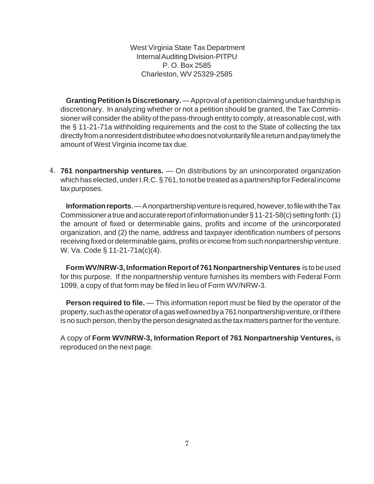West Virginia State Tax Department Internal Auditing Division-PITPU P. O. Box 2585 Charleston, WV 25329-2585

**Granting Petition Is Discretionary.** — Approval of a petition claiming undue hardship is discretionary. In analyzing whether or not a petition should be granted, the Tax Commissioner will consider the ability of the pass-through entity to comply, at reasonable cost, with the § 11-21-71a withholding requirements and the cost to the State of collecting the tax directly from a nonresident distributee who does not voluntarily file a return and pay timely the amount of West Virginia income tax due.

**761 nonpartnership ventures.** — On distributions by an unincorporated organization 4.which has elected, under I.R.C. § 761, to not be treated as a partnership for Federal income tax purposes.

**Information reports**. — A nonpartnership venture is required, however, to file with the Tax Commissioner a true and accurate report of information under § 11-21-58(c) setting forth: (1) the amount of fixed or determinable gains, profits and income of the unincorporated organization, and (2) the name, address and taxpayer identification numbers of persons receiving fixed or determinable gains, profits or income from such nonpartnership venture. W. Va. Code § 11-21-71a(c)(4).

**Form WV/NRW-3, Information Report of 761 Nonpartnership Ventures** is to be used for this purpose. If the nonpartnership venture furnishes its members with Federal Form 1099, a copy of that form may be filed in lieu of Form WV/NRW-3.

**Person required to file.** — This information report must be filed by the operator of the property, such as the operator of a gas well owned by a 761 nonpartnership venture, or if there is no such person, then by the person designated as the tax matters partner for the venture.

A copy of **Form WV/NRW-3, Information Report of 761 Nonpartnership Ventures,** is reproduced on the next page.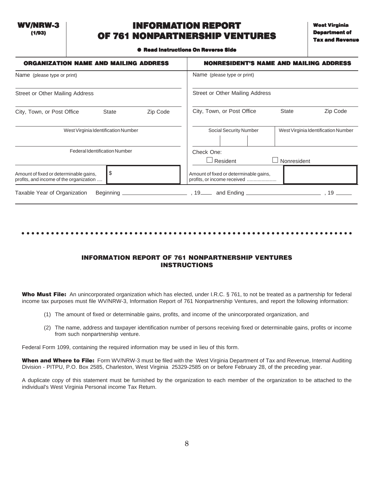WV/NRW-3 (1/93)

# INFORMATION REPORT OF 761 NONPARTNERSHIP VENTURES

● Read Instructions On Reverse Side

| <b>ORGANIZATION NAME AND MAILING ADDRESS</b>                                            |          |                                                                       | <b>NONRESIDENT'S NAME AND MAILING ADDRESS</b> |
|-----------------------------------------------------------------------------------------|----------|-----------------------------------------------------------------------|-----------------------------------------------|
| Name (please type or print)                                                             |          | Name (please type or print)                                           |                                               |
| Street or Other Mailing Address                                                         |          | Street or Other Mailing Address                                       |                                               |
| City, Town, or Post Office<br><b>State</b>                                              | Zip Code | City, Town, or Post Office<br>Zip Code<br><b>State</b>                |                                               |
| West Virginia Identification Number                                                     |          | Social Security Number                                                | West Virginia Identification Number           |
| <b>Federal Identification Number</b>                                                    |          | Check One:<br>$\Box$ Resident                                         | Nonresident                                   |
| \$<br>Amount of fixed or determinable gains,<br>profits, and income of the organization |          | Amount of fixed or determinable gains,<br>profits, or income received |                                               |
| Taxable Year of Organization<br>Beginning                                               |          |                                                                       | 19                                            |

### ○○○○○○○○○○○○○○○○○○○○○○○○○○○○○○○○○○○○○○○○○○○○○ ○○○○○○○○○○○○○○○○○○○○○○○

### INFORMATION REPORT OF 761 NONPARTNERSHIP VENTURES INSTRUCTIONS

Who Must File: An unincorporated organization which has elected, under I.R.C. § 761, to not be treated as a partnership for federal income tax purposes must file WV/NRW-3, Information Report of 761 Nonpartnership Ventures, and report the following information:

- (1) The amount of fixed or determinable gains, profits, and income of the unincorporated organization, and
- (2) The name, address and taxpayer identification number of persons receiving fixed or determinable gains, profits or income from such nonpartnership venture.

Federal Form 1099, containing the required information may be used in lieu of this form.

When and Where to File: Form WV/NRW-3 must be filed with the West Virginia Department of Tax and Revenue, Internal Auditing Division - PITPU, P.O. Box 2585, Charleston, West Virginia 25329-2585 on or before February 28, of the preceding year.

A duplicate copy of this statement must be furnished by the organization to each member of the organization to be attached to the individual's West Virginia Personal income Tax Return.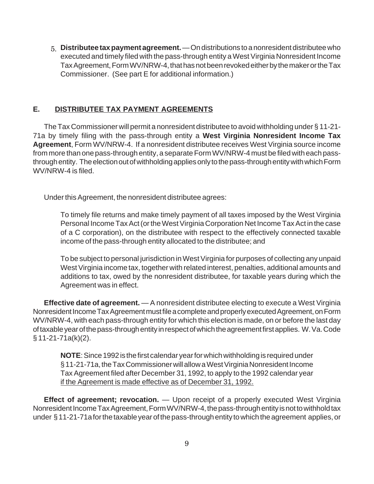**Distributee tax payment agreement.** — On distributions to a nonresident distributee who 5.executed and timely filed with the pass-through entity a West Virginia Nonresident Income Tax Agreement, Form WV/NRW-4, that has not been revoked either by the maker or the Tax Commissioner. (See part E for additional information.)

### **E. DISTRIBUTEE TAX PAYMENT AGREEMENTS**

The Tax Commissioner will permit a nonresident distributee to avoid withholding under § 11-21- 71a by timely filing with the pass-through entity a **West Virginia Nonresident Income Tax Agreement**, Form WV/NRW-4. If a nonresident distributee receives West Virginia source income from more than one pass-through entity, a separate Form WV/NRW-4 must be filed with each passthrough entity. The election out of withholding applies only to the pass-through entity with which Form WV/NRW-4 is filed.

Under this Agreement, the nonresident distributee agrees:

To timely file returns and make timely payment of all taxes imposed by the West Virginia Personal Income Tax Act (or the West Virginia Corporation Net Income Tax Act in the case of a C corporation), on the distributee with respect to the effectively connected taxable income of the pass-through entity allocated to the distributee; and

To be subject to personal jurisdiction in West Virginia for purposes of collecting any unpaid West Virginia income tax, together with related interest, penalties, additional amounts and additions to tax, owed by the nonresident distributee, for taxable years during which the Agreement was in effect.

**Effective date of agreement.** — A nonresident distributee electing to execute a West Virginia Nonresident Income Tax Agreement must file a complete and properly executed Agreement, on Form WV/NRW-4, with each pass-through entity for which this election is made, on or before the last day of taxable year of the pass-through entity in respect of which the agreement first applies. W. Va. Code § 11-21-71a(k)(2).

**NOTE**: Since 1992 is the first calendar year for which withholding is required under § 11-21-71a, the Tax Commissioner will allow a West Virginia Nonresident Income Tax Agreement filed after December 31, 1992, to apply to the 1992 calendar year if the Agreement is made effective as of December 31, 1992.

**Effect of agreement; revocation.** — Upon receipt of a properly executed West Virginia Nonresident Income Tax Agreement, Form WV/NRW-4, the pass-through entity is not to withhold tax under § 11-21-71a for the taxable year of the pass-through entity to which the agreement applies, or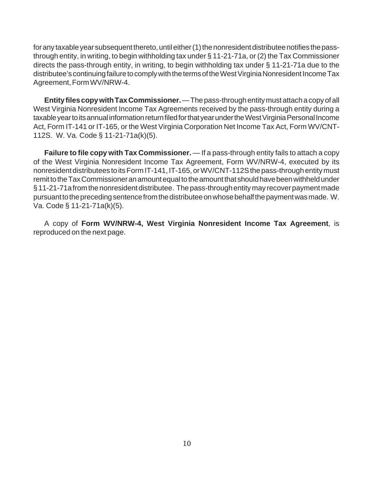for any taxable year subsequent thereto, until either (1) the nonresident distributee notifies the passthrough entity, in writing, to begin withholding tax under § 11-21-71a, or (2) the Tax Commissioner directs the pass-through entity, in writing, to begin withholding tax under § 11-21-71a due to the distributee's continuing failure to comply with the terms of the West Virginia Nonresident Income Tax Agreement, Form WV/NRW-4.

**Entity files copy with Tax Commissioner.** — The pass-through entity must attach a copy of all West Virginia Nonresident Income Tax Agreements received by the pass-through entity during a taxable year to its annual information return filed for that year under the West Virginia Personal Income Act, Form IT-141 or IT-165, or the West Virginia Corporation Net Income Tax Act, Form WV/CNT-112S. W. Va. Code § 11-21-71a(k)(5).

**Failure to file copy with Tax Commissioner.** — If a pass-through entity fails to attach a copy of the West Virginia Nonresident Income Tax Agreement, Form WV/NRW-4, executed by its nonresident distributees to its Form IT-141, IT-165, or WV/CNT-112S the pass-through entity must remit to the Tax Commissioner an amount equal to the amount that should have been withheld under § 11-21-71a from the nonresident distributee. The pass-through entity may recover payment made pursuant to the preceding sentence from the distributee on whose behalf the payment was made. W. Va. Code § 11-21-71a(k)(5).

A copy of **Form WV/NRW-4, West Virginia Nonresident Income Tax Agreement**, is reproduced on the next page.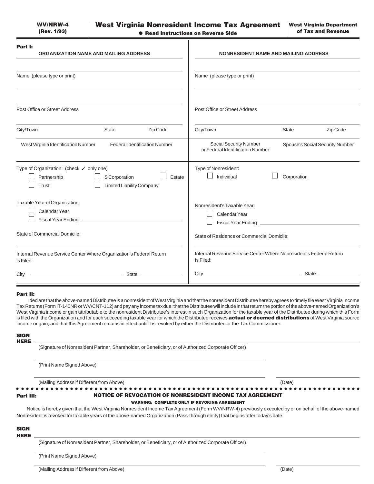| Part I:<br><b>ORGANIZATION NAME AND MAILING ADDRESS</b>                                                                  | <b>NONRESIDENT NAME AND MAILING ADDRESS</b>                                                          |
|--------------------------------------------------------------------------------------------------------------------------|------------------------------------------------------------------------------------------------------|
| Name (please type or print)                                                                                              | Name (please type or print)                                                                          |
| Post Office or Street Address                                                                                            | Post Office or Street Address                                                                        |
| City/Town<br><b>State</b><br>Zip Code                                                                                    | City/Town<br><b>State</b><br>Zip Code                                                                |
| <b>Federal Identification Number</b><br>West Virginia Identification Number                                              | <b>Social Security Number</b><br>Spouse's Social Security Number<br>or Federal Identification Number |
| Type of Organization: (check √ only one)<br>Partnership<br>S Corporation<br>Estate<br>Trust<br>Limited Liability Company | Type of Nonresident:<br>Individual<br>Corporation                                                    |
| Taxable Year of Organization:<br>Calendar Year                                                                           | Nonresident's Taxable Year:<br>Calendar Year                                                         |
| State of Commercial Domicile:                                                                                            | State of Residence or Commercial Domicile:                                                           |
| Internal Revenue Service Center Where Organization's Federal Return<br>is Filed:                                         | Internal Revenue Service Center Where Nonresident's Federal Return<br>Is Filed:                      |
| <u> 1989 - Johann Barbara, martin amerikan ba</u><br>City                                                                | <b>State State</b>                                                                                   |

#### Part II:

I declare that the above-named Distributee is a nonresident of West Virginia and that the nonresident Distributee hereby agrees to timely file West Virginia Income Tax Returns (Form IT-140NR or WV/CNT-112) and pay any income tax due; that the Distributee will include in that return the portion of the above-named Organization's West Virginia income or gain attributable to the nonresident Distributee's interest in such Organization for the taxable year of the Distributee during which this Form is filed with the Organization and for each succeeding taxable year for which the Distributee receives **actual or deemed distributions** of West Virginia source income or gain; and that this Agreement remains in effect until it is revoked by either the Distributee or the Tax Commissioner.

#### **SIGN** HERE

(Signature of Nonresident Partner, Shareholder, or Beneficiary, or of Authorized Corporate Officer)

(Print Name Signed Above)

(Mailing Address if Different from Above) (Date)

○○○○○○○○○○○○○○○○○○○○○○○○○○○ ○○○○○○○○○○○○○○○○○○○○○○○○○○○○○○○○○○○○○○○○○○○○

#### NOTICE OF REVOCATION OF NONRESIDENT INCOME TAX AGREEMENT

### WARNING: COMPLETE ONLY IF REVOKING AGREEMENT

Notice is hereby given that the West Virginia Nonresident Income Tax Agreement (Form WV/NRW-4) previously executed by or on behalf of the above-named Nonresident is revoked for taxable years of the above-named Organization (Pass-through entity) that begins after today's date.

#### **SIGN HERE**

Part III:

11 (Signature of Nonresident Partner, Shareholder, or Beneficiary, or of Authorized Corporate Officer)

(Print Name Signed Above)

(Mailing Address if Different from Above) (Date)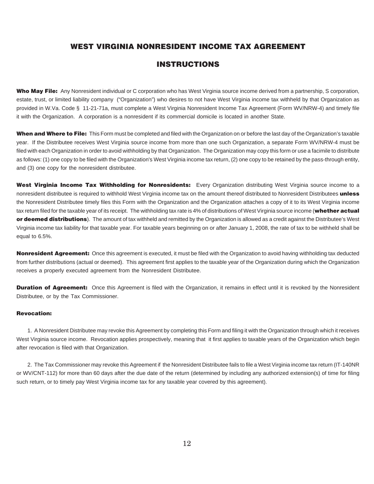### WEST VIRGINIA NONRESIDENT INCOME TAX AGREEMENT

### INSTRUCTIONS

Who May File: Any Nonresident individual or C corporation who has West Virginia source income derived from a partnership, S corporation, estate, trust, or limited liability company ("Organization") who desires to not have West Virginia income tax withheld by that Organization as provided in W.Va. Code § 11-21-71a, must complete a West Virginia Nonresident Income Tax Agreement (Form WV/NRW-4) and timely file it with the Organization. A corporation is a nonresident if its commercial domicile is located in another State.

When and Where to File: This Form must be completed and filed with the Organization on or before the last day of the Organization's taxable year. If the Distributee receives West Virginia source income from more than one such Organization, a separate Form WV/NRW-4 must be filed with each Organization in order to avoid withholding by that Organization. The Organization may copy this form or use a facimile to distribute as follows: (1) one copy to be filed with the Organization's West Virginia income tax return, (2) one copy to be retained by the pass-through entity, and (3) one copy for the nonresident distributee.

West Virginia Income Tax Withholding for Nonresidents: Every Organization distributing West Virginia source income to a nonresident distributee is required to withhold West Virginia income tax on the amount thereof distributed to Nonresident Distributees unless the Nonresident Distributee timely files this Form with the Organization and the Organization attaches a copy of it to its West Virginia income tax return filed for the taxable year of its receipt. The withholding tax rate is 4% of distributions of West Virginia source income (whether actual or deemed distributions). The amount of tax withheld and remitted by the Organization is allowed as a credit against the Distributee's West Virginia income tax liability for that taxable year. For taxable years beginning on or after January 1, 2008, the rate of tax to be withheld shall be equal to 6.5%.

Nonresident Agreement: Once this agreement is executed, it must be filed with the Organization to avoid having withholding tax deducted from further distributions (actual or deemed). This agreement first applies to the taxable year of the Organization during which the Organization receives a properly executed agreement from the Nonresident Distributee.

**Duration of Agreement:** Once this Agreement is filed with the Organization, it remains in effect until it is revoked by the Nonresident Distributee, or by the Tax Commissioner.

### Revocation:

1. A Nonresident Distributee may revoke this Agreement by completing this Form and filing it with the Organization through which it receives West Virginia source income. Revocation applies prospectively, meaning that it first applies to taxable years of the Organization which begin after revocation is filed with that Organization.

2. The Tax Commissioner may revoke this Agreement if the Nonresident Distributee fails to file a West Virginia income tax return (IT-140NR or WV/CNT-112) for more than 60 days after the due date of the return (determined by including any authorized extension(s) of time for filing such return, or to timely pay West Virginia income tax for any taxable year covered by this agreement).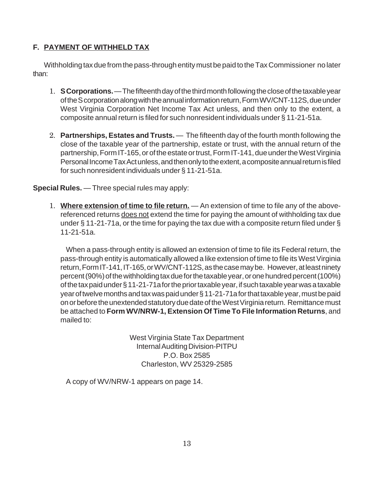## **F. PAYMENT OF WITHHELD TAX**

Withholding tax due from the pass-through entity must be paid to the Tax Commissioner no later than:

- 1. S Corporations. The fifteenth day of the third month following the close of the taxable year of the S corporation along with the annual information return, Form WV/CNT-112S, due under West Virginia Corporation Net Income Tax Act unless, and then only to the extent, a composite annual return is filed for such nonresident individuals under § 11-21-51a.
- **Partnerships, Estates and Trusts.** The fifteenth day of the fourth month following the 2. close of the taxable year of the partnership, estate or trust, with the annual return of the partnership, Form IT-165, or of the estate or trust, Form IT-141, due under the West Virginia Personal Income Tax Act unless, and then only to the extent, a composite annual return is filed for such nonresident individuals under § 11-21-51a.

**Special Rules.** — Three special rules may apply:

1. Where extension of time to file return. - An extension of time to file any of the abovereferenced returns does not extend the time for paying the amount of withholding tax due under § 11-21-71a, or the time for paying the tax due with a composite return filed under § 11-21-51a.

When a pass-through entity is allowed an extension of time to file its Federal return, the pass-through entity is automatically allowed a like extension of time to file its West Virginia return, Form IT-141, IT-165, or WV/CNT-112S, as the case may be. However, at least ninety percent (90%) of the withholding tax due for the taxable year, or one hundred percent (100%) of the tax paid under § 11-21-71a for the prior taxable year, if such taxable year was a taxable year of twelve months and tax was paid under § 11-21-71a for that taxable year, must be paid on or before the unextended statutory due date of the West Virginia return. Remittance must be attached to **Form WV/NRW-1, Extension Of Time To File Information Returns**, and mailed to:

> West Virginia State Tax Department Internal Auditing Division-PITPU P.O. Box 2585 Charleston, WV 25329-2585

A copy of WV/NRW-1 appears on page 14.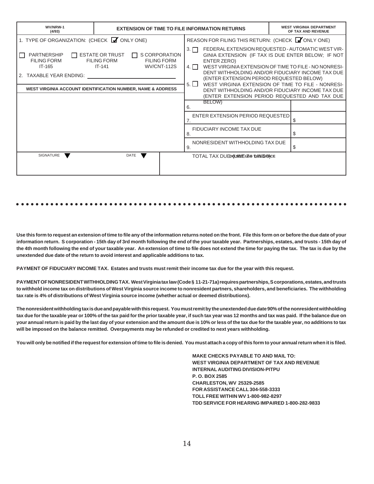| WV/NRW-1<br>(4/93)                                                                                                                                            |                                                                          | <b>EXTENSION OF TIME TO FILE INFORMATION RETURNS</b> |                                                  |                                                                                                                                                                                                                                                                                                                                                                                                                                            |  | <b>WEST VIRGINIA DEPARTMENT</b><br>OF TAX AND REVENUE |
|---------------------------------------------------------------------------------------------------------------------------------------------------------------|--------------------------------------------------------------------------|------------------------------------------------------|--------------------------------------------------|--------------------------------------------------------------------------------------------------------------------------------------------------------------------------------------------------------------------------------------------------------------------------------------------------------------------------------------------------------------------------------------------------------------------------------------------|--|-------------------------------------------------------|
| 1. TYPE OF ORGANIZATION: (CHECK V ONLY ONE)                                                                                                                   |                                                                          |                                                      | REASON FOR FILING THIS RETURN: (CHECK VONLY ONE) |                                                                                                                                                                                                                                                                                                                                                                                                                                            |  |                                                       |
| PARTNERSHIP<br>$\mathbf{I}$<br><b>FILING FORM</b><br>IT-165<br>TAXABLE YEAR ENDING:<br><b>WEST VIRGINIA ACCOUNT IDENTIFICATION NUMBER, NAME &amp; ADDRESS</b> | <b>ESTATE OR TRUST</b><br>$\mathbf{L}$<br><b>FILING FORM</b><br>$IT-141$ | S CORPORATION<br><b>FILING FORM</b><br>WV/CNT-112S   | $3. \Box$<br>4.1 <sub>1</sub><br>$5. \Box$       | FEDERAL EXTENSION REQUESTED - AUTOMATIC WEST VIR-<br>GINIA EXTENSION (IF TAX IS DUE ENTER BELOW; IF NOT<br>ENTER ZERO)<br>WEST VIRGINIA EXTENSION OF TIME TO FILE - NO NONRESI-<br>DENT WITHHOLDING AND/OR FIDUCIARY INCOME TAX DUE<br>(ENTER EXTENSION PERIOD REQUESTED BELOW)<br>WEST VIRGINIA EXTENSION OF TIME TO FILE - NONRESI-<br>DENT WITHHOLDING AND/OR FIDUCIARY INCOME TAX DUE<br>(ENTER EXTENSION PERIOD REQUESTED AND TAX DUE |  |                                                       |
|                                                                                                                                                               |                                                                          |                                                      | 6.                                               | BELOW)                                                                                                                                                                                                                                                                                                                                                                                                                                     |  |                                                       |
|                                                                                                                                                               |                                                                          |                                                      |                                                  | ENTER EXTENSION PERIOD REQUESTED                                                                                                                                                                                                                                                                                                                                                                                                           |  | S                                                     |
|                                                                                                                                                               |                                                                          |                                                      | 8.                                               | FIDUCIARY INCOME TAX DUE                                                                                                                                                                                                                                                                                                                                                                                                                   |  |                                                       |
|                                                                                                                                                               |                                                                          |                                                      | 9.                                               | NONRESIDENT WITHHOLDING TAX DUE                                                                                                                                                                                                                                                                                                                                                                                                            |  |                                                       |
| <b>SIGNATURE</b>                                                                                                                                              | DATE                                                                     |                                                      |                                                  | TOTAL TAX DUEDOUNDEUSE THIS ERACE                                                                                                                                                                                                                                                                                                                                                                                                          |  |                                                       |

#### ○○○○○○○○○○○○○○○○○○○○○○○○○○○○○○○○○○○○○○○○○○○○○ ○○○○○○○○○○○○○○○○○○○○○○○

**Use this form to request an extension of time to file any of the information returns noted on the front. File this form on or before the due date of your information return. S corporation - 15th day of 3rd month following the end of the your taxable year. Partnerships, estates, and trusts - 15th day of the 4th month following the end of your taxable year. An extension of time to file does not extend the time for paying the tax. The tax is due by the unextended due date of the return to avoid interest and applicable additions to tax.**

**PAYMENT OF FIDUCIARY INCOME TAX. Estates and trusts must remit their income tax due for the year with this request.**

**PAYMENT OF NONRESIDENT WITHHOLDING TAX. West Virginia tax law (Code § 11-21-71a) requires partnerships, S corporations, estates, and trusts to withhold income tax on distributions of West Virginia source income to nonresident partners, shareholders, and beneficiaries. The withholding tax rate is 4% of distributions of West Virginia source income (whether actual or deemed distributions).**

**The nonresident withholding tax is due and payable with this request. You must remit by the unextended due date 90% of the nonresident withholding tax due for the taxable year or 100% of the tax paid for the prior taxable year, if such tax year was 12 months and tax was paid. If the balance due on your annual return is paid by the last day of your extension and the amount due is 10% or less of the tax due for the taxable year, no additions to tax will be imposed on the balance remitted. Overpayments may be refunded or credited to next years withholding.**

**You will only be notified if the request for extension of time to file is denied. You must attach a copy of this form to your annual return when it is filed.**

**MAKE CHECKS PAYABLE TO AND MAIL TO: WEST VIRGINIA DEPARTMENT OF TAX AND REVENUE INTERNAL AUDITING DIVISION-PITPU P. O. BOX 2585 CHARLESTON, WV 25329-2585 FOR ASSISTANCE CALL 304-558-3333 TOLL FREE WITHIN WV 1-800-982-8297 TDD SERVICE FOR HEARING IMPAIRED 1-800-282-9833**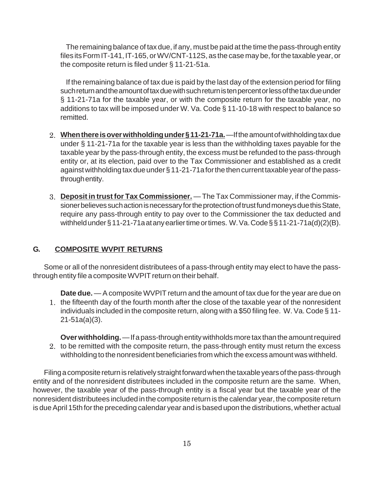The remaining balance of tax due, if any, must be paid at the time the pass-through entity files its Form IT-141, IT-165, or WV/CNT-112S, as the case may be, for the taxable year, or the composite return is filed under § 11-21-51a.

If the remaining balance of tax due is paid by the last day of the extension period for filing such return and the amount of tax due with such return is ten percent or less of the tax due under § 11-21-71a for the taxable year, or with the composite return for the taxable year, no additions to tax will be imposed under W. Va. Code § 11-10-18 with respect to balance so remitted.

- **When there is over withholding under § 11-21-71a.** —If the amount of withholding tax due 2. under § 11-21-71a for the taxable year is less than the withholding taxes payable for the taxable year by the pass-through entity, the excess must be refunded to the pass-through entity or, at its election, paid over to the Tax Commissioner and established as a credit against withholding tax due under § 11-21-71a for the then current taxable year of the passthrough entity.
- **Deposit in trust for Tax Commissioner.** The Tax Commissioner may, if the Commis-3. sioner believes such action is necessary for the protection of trust fund moneys due this State, require any pass-through entity to pay over to the Commissioner the tax deducted and withheld under § 11-21-71a at any earlier time or times. W. Va. Code § § 11-21-71a(d)(2)(B).

## **G. COMPOSITE WVPIT RETURNS**

Some or all of the nonresident distributees of a pass-through entity may elect to have the passthrough entity file a composite WVPIT return on their behalf.

**Date due.** — A composite WVPIT return and the amount of tax due for the year are due on 1. the fifteenth day of the fourth month after the close of the taxable year of the nonresident individuals included in the composite return, along with a \$50 filing fee. W. Va. Code § 11- 21-51a(a)(3).

**Over withholding.** — If a pass-through entity withholds more tax than the amount required 2. to be remitted with the composite return, the pass-through entity must return the excess withholding to the nonresident beneficiaries from which the excess amount was withheld.

Filing a composite return is relatively straight forward when the taxable years of the pass-through entity and of the nonresident distributees included in the composite return are the same. When, however, the taxable year of the pass-through entity is a fiscal year but the taxable year of the nonresident distributees included in the composite return is the calendar year, the composite return is due April 15th for the preceding calendar year and is based upon the distributions, whether actual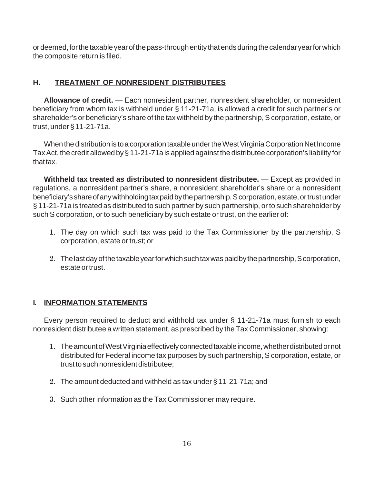or deemed, for the taxable year of the pass-through entity that ends during the calendar year for which the composite return is filed.

## **H. TREATMENT OF NONRESIDENT DISTRIBUTEES**

**Allowance of credit.** — Each nonresident partner, nonresident shareholder, or nonresident beneficiary from whom tax is withheld under § 11-21-71a, is allowed a credit for such partner's or shareholder's or beneficiary's share of the tax withheld by the partnership, S corporation, estate, or trust, under § 11-21-71a.

When the distribution is to a corporation taxable under the West Virginia Corporation Net Income Tax Act, the credit allowed by § 11-21-71a is applied against the distributee corporation's liability for that tax.

**Withheld tax treated as distributed to nonresident distributee.** — Except as provided in regulations, a nonresident partner's share, a nonresident shareholder's share or a nonresident beneficiary's share of any withholding tax paid by the partnership, S corporation, estate, or trust under § 11-21-71a is treated as distributed to such partner by such partnership, or to such shareholder by such S corporation, or to such beneficiary by such estate or trust, on the earlier of:

- 1. The day on which such tax was paid to the Tax Commissioner by the partnership, S corporation, estate or trust; or
- The last day of the taxable year for which such tax was paid by the partnership, S corporation, 2. estate or trust.

## **I. INFORMATION STATEMENTS**

Every person required to deduct and withhold tax under § 11-21-71a must furnish to each nonresident distributee a written statement, as prescribed by the Tax Commissioner, showing:

- 1. The amount of West Virginia effectively connected taxable income, whether distributed or not distributed for Federal income tax purposes by such partnership, S corporation, estate, or trust to such nonresident distributee;
- The amount deducted and withheld as tax under § 11-21-71a; and 2.
- 3. Such other information as the Tax Commissioner may require.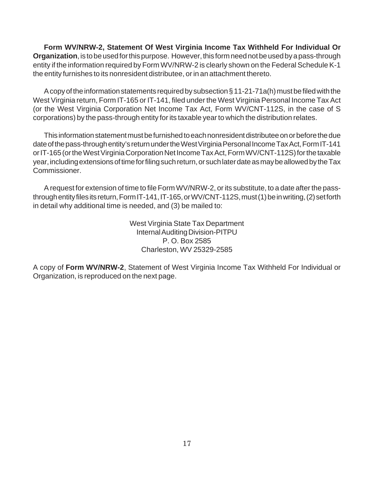**Form WV/NRW-2, Statement Of West Virginia Income Tax Withheld For Individual Or Organization**, is to be used for this purpose. However, this form need not be used by a pass-through entity if the information required by Form WV/NRW-2 is clearly shown on the Federal Schedule K-1 the entity furnishes to its nonresident distributee, or in an attachment thereto.

A copy of the information statements required by subsection § 11-21-71a(h) must be filed with the West Virginia return, Form IT-165 or IT-141, filed under the West Virginia Personal Income Tax Act (or the West Virginia Corporation Net Income Tax Act, Form WV/CNT-112S, in the case of S corporations) by the pass-through entity for its taxable year to which the distribution relates.

This information statement must be furnished to each nonresident distributee on or before the due date of the pass-through entity's return under the West Virginia Personal Income Tax Act, Form IT-141 or IT-165 (or the West Virginia Corporation Net Income Tax Act, Form WV/CNT-112S) for the taxable year, including extensions of time for filing such return, or such later date as may be allowed by the Tax Commissioner.

A request for extension of time to file Form WV/NRW-2, or its substitute, to a date after the passthrough entity files its return, Form IT-141, IT-165, or WV/CNT-112S, must (1) be in writing, (2) set forth in detail why additional time is needed, and (3) be mailed to:

> West Virginia State Tax Department Internal Auditing Division-PITPU P. O. Box 2585 Charleston, WV 25329-2585

A copy of **Form WV/NRW-2**, Statement of West Virginia Income Tax Withheld For Individual or Organization, is reproduced on the next page.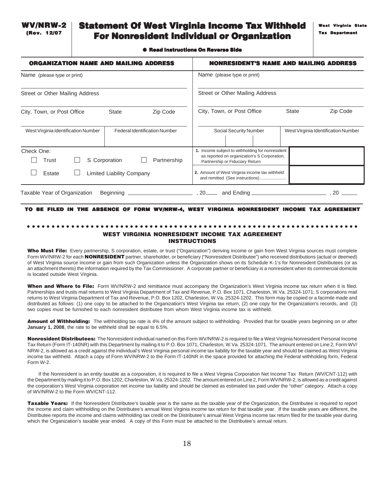# Statement Of West Virginia Income Tax Withheld For Nonresident Individual or Organization

#### ● Read Instructions On Reverse Side

| <b>ORGANIZATION NAME AND MAILING ADDRESS</b>                                | <b>NONRESIDENT'S NAME AND MAILING ADDRESS</b>                                                                                       |
|-----------------------------------------------------------------------------|-------------------------------------------------------------------------------------------------------------------------------------|
| Name (please type or print)                                                 | Name (please type or print)                                                                                                         |
| Street or Other Mailing Address                                             | Street or Other Mailing Address                                                                                                     |
| City, Town, or Post Office<br><b>State</b><br>Zip Code                      | Zip Code<br>City, Town, or Post Office<br><b>State</b>                                                                              |
| <b>Federal Identification Number</b><br>West Virginia Identification Number | Social Security Number<br>West Virginia Identification Number                                                                       |
| Check One:<br>S Corporation<br>Partnership<br>Trust                         | 1. Income subject to withholding for nonresident<br>as reported on organization's S Corporation,<br>Partnership or Fiduciary Return |
| Estate<br>Limited Liability Company                                         | 2. Amount of West Virginia income tax withheld<br>and remitted (See instructions)                                                   |
| Taxable Year of Organization<br><b>Beginning</b>                            | 20<br>and Ending.<br>$20$ <sub>——</sub>                                                                                             |

#### TO BE FILED IN THE ABSENCE OF FORM WV/NRW-4, WEST VIRGINIA NONRESIDENT INCOME TAX AGREEMENT

### ○○○○○○○○○○○○○○○○○○○○○○○○○○○○○○○○○○○○○○○○○○○○○ ○○○○○○○○○○○○○○○○○○○○○○○ WEST VIRGINIA NONRESIDENT INCOME TAX AGREEMENT INSTRUCTIONS

Who Must File: Every partnership, S corporation, estate, or trust ("Organization") deriving income or gain from West Virginia sources must complete Form WV/NRW-2 for each **NONRESIDENT** partner, shareholder, or beneficiary ("Nonresident Distributee") who received distributions (actual or deemed) of West Virginia source income or gain from such Organization unless the Organization shows on its Schedule K-1's for Nonresident Distributees (or as an attachment thereto) the information required by the Tax Commissioner. A corporate partner or beneficiary is a nonresident when its commercial domicile is located outside West Virginia.

When and Where to File: Form WV/NRW-2 and remittance must accompany the Organization's West Virginia income tax return when it is filed. Partnerships and trusts mail returns to West Virginia Department of Tax and Revenue, P.O. Box 1071, Charleston, W.Va. 25324-1071; S corporations mail returns to West Virginia Department of Tax and Revenue, P.O. Box 1202, Charleston, W.Va. 25324-1202. This form may be copied or a facimile made and distributed as follows: (1) one copy to be attached to the Organization's West Virginia tax return, (2) one copy for the Organization's records, and (3) two copies must be furnished to each nonresident distributee from whom West Virginia income tax is withheld.

Amount of Withholding: The withholding tax rate is 4% of the amount subject to withholding. Provided that for taxable years beginning on or after **January 1, 2008**, the rate to be withheld shall be equal to 6.5%.

Nonresident Distributees: The Nonresident individual named on this Form WV/NRW-2 is required to file a West Virginia Nonresident Personal Income Tax Return (Form IT-140NR) with this Department by mailing it to P.O. Box 1071, Charleston, W.Va. 25324-1071. The amount entered on Line 2, Form WV/ NRW-2, is allowed as a credit against the individual's West Virginia personal income tax liability for the taxable year and should be claimed as West Virginia income tax withheld. Attach a copy of Form WV/NRW-2 to the Form IT-140NR in the space provided for attaching the Federal withholding form, Federal Form W-2.

If the Nonresident is an entity taxable as a corporation, it is required to file a West Virginia Corporation Net Income Tax Return (WV/CNT-112) with the Department by mailing it to P.O. Box 1202, Charleston, W.Va. 25324-1202. The amount entered on Line 2, Form WV/NRW-2, is allowed as a credit against the corporation's West Virginia corporation net income tax liability and should be claimed as estimated tax paid under the "other" category. Attach a copy of WV/NRW-2 to the Form WV/CNT-112.

Taxable Years: If the Nonresident Distributee's taxable year is the same as the taxable year of the Organization, the Distributee is required to report the income and claim withholding on the Distributee's annual West Virginia income tax return for that taxable year. If the taxable years are different, the Distributee reports the income and claims withholding tax credit on the Distributee's annual West Virginia income tax return filed for the taxable year during which the Organization's taxable year ended. A copy of this Form must be attached to the Distributee's annual return.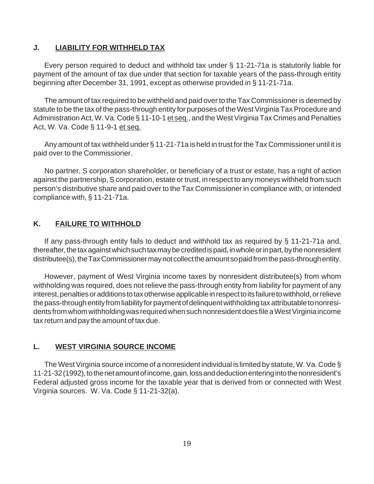### **J. LIABILITY FOR WITHHELD TAX**

Every person required to deduct and withhold tax under § 11-21-71a is statutorily liable for payment of the amount of tax due under that section for taxable years of the pass-through entity beginning after December 31, 1991, except as otherwise provided in § 11-21-71a.

The amount of tax required to be withheld and paid over to the Tax Commissioner is deemed by statute to be the tax of the pass-through entity for purposes of the West Virginia Tax Procedure and Administration Act, W. Va. Code § 11-10-1 et seq., and the West Virginia Tax Crimes and Penalties Act, W. Va. Code § 11-9-1 et seq.

Any amount of tax withheld under § 11-21-71a is held in trust for the Tax Commissioner until it is paid over to the Commissioner.

No partner, S corporation shareholder, or beneficiary of a trust or estate, has a right of action against the partnership, S corporation, estate or trust, in respect to any moneys withheld from such person's distributive share and paid over to the Tax Commissioner in compliance with, or intended compliance with, § 11-21-71a.

### **K. FAILURE TO WITHHOLD**

If any pass-through entity fails to deduct and withhold tax as required by § 11-21-71a and, thereafter, the tax against which such tax may be credited is paid, in whole or in part, by the nonresident distributee(s), the Tax Commissioner may not collect the amount so paid from the pass-through entity.

However, payment of West Virginia income taxes by nonresident distributee(s) from whom withholding was required, does not relieve the pass-through entity from liability for payment of any interest, penalties or additions to tax otherwise applicable in respect to its failure to withhold, or relieve the pass-through entity from liability for payment of delinquent withholding tax attributable to nonresidents from whom withholding was required when such nonresident does file a West Virginia income tax return and pay the amount of tax due.

### **L. WEST VIRGINIA SOURCE INCOME**

The West Virginia source income of a nonresident individual is limited by statute, W. Va. Code § 11-21-32 (1992), to the net amount of income, gain, loss and deduction entering into the nonresident's Federal adjusted gross income for the taxable year that is derived from or connected with West Virginia sources. W. Va. Code § 11-21-32(a).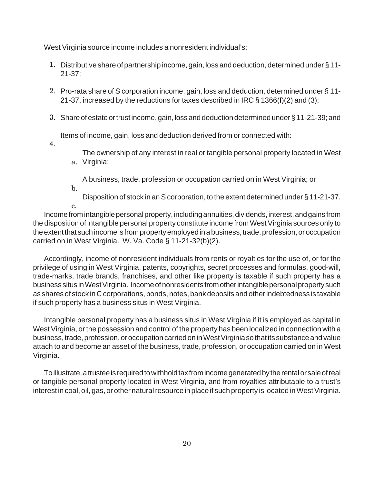West Virginia source income includes a nonresident individual's:

- 1. Distributive share of partnership income, gain, loss and deduction, determined under §11-21-37;
- 2. Pro-rata share of S corporation income, gain, loss and deduction, determined under § 11-21-37, increased by the reductions for taxes described in IRC § 1366(f)(2) and (3);
- 3. Share of estate or trust income, gain, loss and deduction determined under §11-21-39; and

Items of income, gain, loss and deduction derived from or connected with:

4.

The ownership of any interest in real or tangible personal property located in West Virginia; a.

A business, trade, profession or occupation carried on in West Virginia; or

b.

Disposition of stock in an S corporation, to the extent determined under § 11-21-37.

c.

Income from intangible personal property, including annuities, dividends, interest, and gains from the disposition of intangible personal property constitute income from West Virginia sources only to the extent that such income is from property employed in a business, trade, profession, or occupation carried on in West Virginia. W. Va. Code § 11-21-32(b)(2).

Accordingly, income of nonresident individuals from rents or royalties for the use of, or for the privilege of using in West Virginia, patents, copyrights, secret processes and formulas, good-will, trade-marks, trade brands, franchises, and other like property is taxable if such property has a business situs in West Virginia. Income of nonresidents from other intangible personal property such as shares of stock in C corporations, bonds, notes, bank deposits and other indebtedness is taxable if such property has a business situs in West Virginia.

Intangible personal property has a business situs in West Virginia if it is employed as capital in West Virginia, or the possession and control of the property has been localized in connection with a business, trade, profession, or occupation carried on in West Virginia so that its substance and value attach to and become an asset of the business, trade, profession, or occupation carried on in West Virginia.

To illustrate, a trustee is required to withhold tax from income generated by the rental or sale of real or tangible personal property located in West Virginia, and from royalties attributable to a trust's interest in coal, oil, gas, or other natural resource in place if such property is located in West Virginia.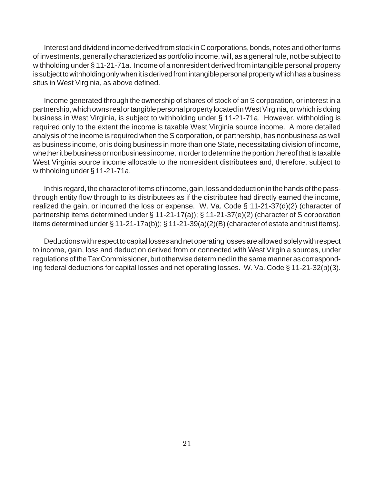Interest and dividend income derived from stock in C corporations, bonds, notes and other forms of investments, generally characterized as portfolio income, will, as a general rule, not be subject to withholding under § 11-21-71a. Income of a nonresident derived from intangible personal property is subject to withholding only when it is derived from intangible personal property which has a business situs in West Virginia, as above defined.

Income generated through the ownership of shares of stock of an S corporation, or interest in a partnership, which owns real or tangible personal property located in West Virginia, or which is doing business in West Virginia, is subject to withholding under § 11-21-71a. However, withholding is required only to the extent the income is taxable West Virginia source income. A more detailed analysis of the income is required when the S corporation, or partnership, has nonbusiness as well as business income, or is doing business in more than one State, necessitating division of income, whether it be business or nonbusiness income, in order to determine the portion thereof that is taxable West Virginia source income allocable to the nonresident distributees and, therefore, subject to withholding under § 11-21-71a.

In this regard, the character of items of income, gain, loss and deduction in the hands of the passthrough entity flow through to its distributees as if the distributee had directly earned the income, realized the gain, or incurred the loss or expense. W. Va. Code § 11-21-37(d)(2) (character of partnership items determined under § 11-21-17(a)); § 11-21-37(e)(2) (character of S corporation items determined under § 11-21-17a(b)); § 11-21-39(a)(2)(B) (character of estate and trust items).

Deductions with respect to capital losses and net operating losses are allowed solely with respect to income, gain, loss and deduction derived from or connected with West Virginia sources, under regulations of the Tax Commissioner, but otherwise determined in the same manner as corresponding federal deductions for capital losses and net operating losses. W. Va. Code § 11-21-32(b)(3).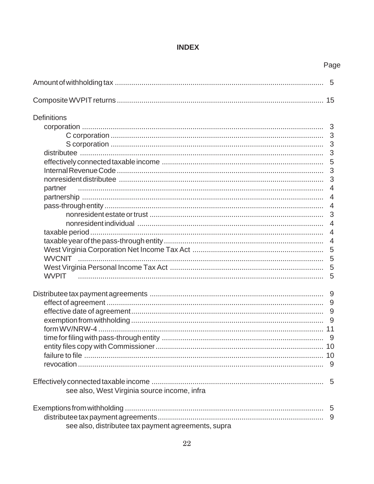# **INDEX**

|                                                     | Page |
|-----------------------------------------------------|------|
|                                                     | 5    |
|                                                     |      |
| <b>Definitions</b>                                  |      |
|                                                     | 3    |
|                                                     | 3    |
|                                                     | 3    |
|                                                     | 3    |
|                                                     | 5    |
|                                                     | 3    |
|                                                     | 3    |
| partner                                             | 4    |
|                                                     | 4    |
|                                                     | 4    |
|                                                     | 3    |
|                                                     | 4    |
|                                                     | 4    |
|                                                     | 4    |
|                                                     | 5    |
|                                                     | 5    |
|                                                     | 5    |
| <b>WVPIT</b>                                        | 5    |
|                                                     |      |
|                                                     | 9    |
|                                                     | 9    |
|                                                     | 9    |
|                                                     |      |
|                                                     |      |
|                                                     |      |
|                                                     |      |
|                                                     |      |
|                                                     | 5    |
|                                                     |      |
| see also, West Virginia source income, infra        |      |
|                                                     |      |
|                                                     | 9    |
| see also, distributee tax payment agreements, supra |      |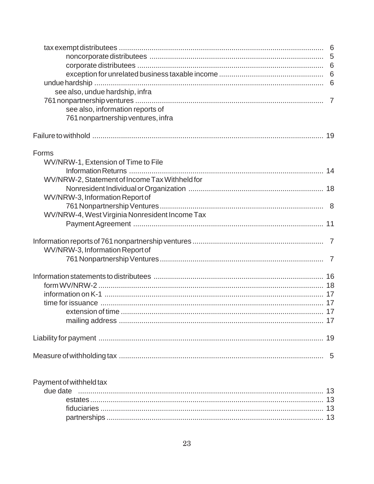| see also, undue hardship, infra<br>see also, information reports of<br>761 nonpartnership ventures, infra<br>WV/NRW-1, Extension of Time to File<br>WV/NRW-2, Statement of Income Tax Withheld for<br>WV/NRW-3, Information Report of<br>WV/NRW-4, West Virginia Nonresident Income Tax<br>WV/NRW-3, Information Report of<br>Payment of withheld tax |       |  |
|-------------------------------------------------------------------------------------------------------------------------------------------------------------------------------------------------------------------------------------------------------------------------------------------------------------------------------------------------------|-------|--|
|                                                                                                                                                                                                                                                                                                                                                       |       |  |
|                                                                                                                                                                                                                                                                                                                                                       |       |  |
|                                                                                                                                                                                                                                                                                                                                                       |       |  |
|                                                                                                                                                                                                                                                                                                                                                       |       |  |
|                                                                                                                                                                                                                                                                                                                                                       |       |  |
|                                                                                                                                                                                                                                                                                                                                                       |       |  |
|                                                                                                                                                                                                                                                                                                                                                       |       |  |
|                                                                                                                                                                                                                                                                                                                                                       |       |  |
|                                                                                                                                                                                                                                                                                                                                                       |       |  |
|                                                                                                                                                                                                                                                                                                                                                       | Forms |  |
|                                                                                                                                                                                                                                                                                                                                                       |       |  |
|                                                                                                                                                                                                                                                                                                                                                       |       |  |
|                                                                                                                                                                                                                                                                                                                                                       |       |  |
|                                                                                                                                                                                                                                                                                                                                                       |       |  |
|                                                                                                                                                                                                                                                                                                                                                       |       |  |
|                                                                                                                                                                                                                                                                                                                                                       |       |  |
|                                                                                                                                                                                                                                                                                                                                                       |       |  |
|                                                                                                                                                                                                                                                                                                                                                       |       |  |
|                                                                                                                                                                                                                                                                                                                                                       |       |  |
|                                                                                                                                                                                                                                                                                                                                                       |       |  |
|                                                                                                                                                                                                                                                                                                                                                       |       |  |
|                                                                                                                                                                                                                                                                                                                                                       |       |  |
|                                                                                                                                                                                                                                                                                                                                                       |       |  |
|                                                                                                                                                                                                                                                                                                                                                       |       |  |
|                                                                                                                                                                                                                                                                                                                                                       |       |  |
|                                                                                                                                                                                                                                                                                                                                                       |       |  |
|                                                                                                                                                                                                                                                                                                                                                       |       |  |
|                                                                                                                                                                                                                                                                                                                                                       |       |  |
|                                                                                                                                                                                                                                                                                                                                                       |       |  |
|                                                                                                                                                                                                                                                                                                                                                       |       |  |
|                                                                                                                                                                                                                                                                                                                                                       |       |  |